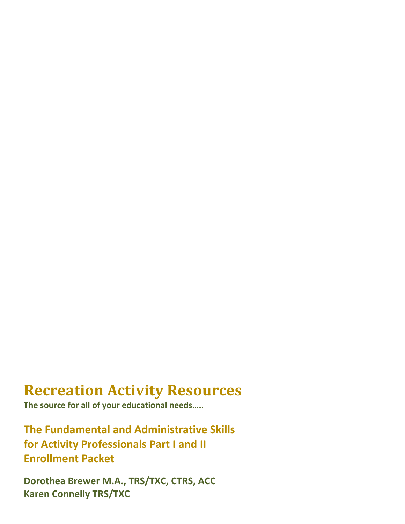# **Recreation Activity Resources**

**The source for all of your educational needs…..**

**The Fundamental and Administrative Skills for Activity Professionals Part I and II Enrollment Packet**

**Dorothea Brewer M.A., TRS/TXC, CTRS, ACC Karen Connelly TRS/TXC**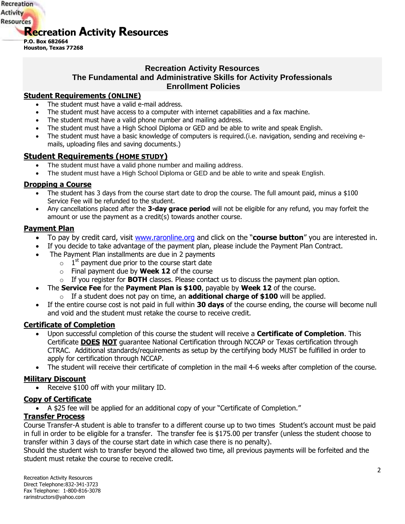

### **Recreation Activity Resources The Fundamental and Administrative Skills for Activity Professionals Enrollment Policies**

### **Student Requirements (ONLINE)**

- The student must have a valid e-mail address.
- The student must have access to a computer with internet capabilities and a fax machine.
- The student must have a valid phone number and mailing address.
- The student must have a High School Diploma or GED and be able to write and speak English.
- The student must have a basic knowledge of computers is required.(i.e. navigation, sending and receiving emails, uploading files and saving documents.)

### **Student Requirements (HOME STUDY)**

- The student must have a valid phone number and mailing address.
- The student must have a High School Diploma or GED and be able to write and speak English.

### **Dropping a Course**

- The student has 3 days from the course start date to drop the course. The full amount paid, minus a \$100 Service Fee will be refunded to the student.
- Any cancellations placed after the **3-day grace period** will not be eligible for any refund, you may forfeit the amount or use the payment as a credit(s) towards another course.

### **Payment Plan**

- To pay by credit card, visit [www.raronline.org](http://www.raronline.org/) and click on the "**course button**" you are interested in.
- If you decide to take advantage of the payment plan, please include the Payment Plan Contract.
- The Payment Plan installments are due in 2 payments
	- $\circ$  1<sup>st</sup> payment due prior to the course start date
	- o Final payment due by **Week 12** of the course
	- o If you register for **BOTH** classes. Please contact us to discuss the payment plan option.
- The **Service Fee** for the **Payment Plan is \$100**, payable by **Week 12** of the course.
	- o If a student does not pay on time, an **additional charge of \$100** will be applied.
- If the entire course cost is not paid in full within **30 days** of the course ending, the course will become null and void and the student must retake the course to receive credit.

### **Certificate of Completion**

- Upon successful completion of this course the student will receive a **Certificate of Completion**. This Certificate **DOES NOT** guarantee National Certification through NCCAP or Texas certification through CTRAC. Additional standards/requirements as setup by the certifying body MUST be fulfilled in order to apply for certification through NCCAP.
- The student will receive their certificate of completion in the mail 4-6 weeks after completion of the course.

### **Military Discount**

• Receive \$100 off with your military ID.

### **Copy of Certificate**

A \$25 fee will be applied for an additional copy of your "Certificate of Completion."

### **Transfer Process**

Course Transfer-A student is able to transfer to a different course up to two times Student's account must be paid in full in order to be eligible for a transfer. The transfer fee is \$175.00 per transfer (unless the student choose to transfer within 3 days of the course start date in which case there is no penalty).

Should the student wish to transfer beyond the allowed two time, all previous payments will be forfeited and the student must retake the course to receive credit.

Recreation Activity Resources Direct Telephone:832-341-3723 Fax Telephone: 1-800-816-3078 rarinstructors@yahoo.com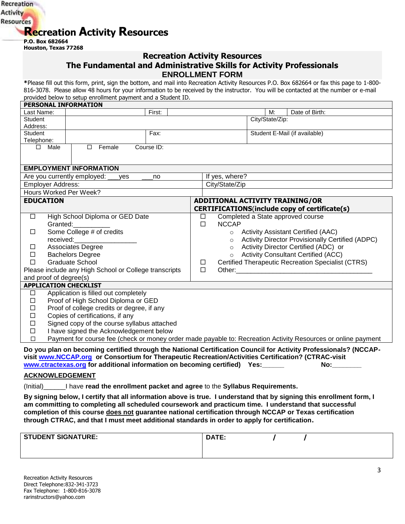

**P.O. Box 682664 Houston, Texas 77268**

### **Recreation Activity Resources The Fundamental and Administrative Skills for Activity Professionals ENROLLMENT FORM**

**\***Please fill out this form, print, sign the bottom, and mail into Recreation Activity Resources P.O. Box 682664 or fax this page to 1-800- 816-3078. Please allow 48 hours for your information to be received by the instructor. You will be contacted at the number or e-mail provided below to setup enrollment payment and a Student ID.

| PERSONAL INFORMATION                                                                                                                                               |                                                                                                                                                                                                                                                                                                      |  |                                        |                 |                                                         |
|--------------------------------------------------------------------------------------------------------------------------------------------------------------------|------------------------------------------------------------------------------------------------------------------------------------------------------------------------------------------------------------------------------------------------------------------------------------------------------|--|----------------------------------------|-----------------|---------------------------------------------------------|
| Last Name:                                                                                                                                                         | First:                                                                                                                                                                                                                                                                                               |  |                                        | M:              | Date of Birth:                                          |
| <b>Student</b>                                                                                                                                                     |                                                                                                                                                                                                                                                                                                      |  |                                        | City/State/Zip: |                                                         |
| Address:                                                                                                                                                           |                                                                                                                                                                                                                                                                                                      |  |                                        |                 |                                                         |
| Student                                                                                                                                                            | Fax:                                                                                                                                                                                                                                                                                                 |  |                                        |                 | Student E-Mail (if available)                           |
| Telephone:                                                                                                                                                         |                                                                                                                                                                                                                                                                                                      |  |                                        |                 |                                                         |
| $\Box$<br>Male                                                                                                                                                     | Course ID:<br>Female<br>п                                                                                                                                                                                                                                                                            |  |                                        |                 |                                                         |
|                                                                                                                                                                    |                                                                                                                                                                                                                                                                                                      |  |                                        |                 |                                                         |
|                                                                                                                                                                    | <b>EMPLOYMENT INFORMATION</b>                                                                                                                                                                                                                                                                        |  |                                        |                 |                                                         |
|                                                                                                                                                                    | Are you currently employed:<br>yes<br>no                                                                                                                                                                                                                                                             |  | If yes, where?                         |                 |                                                         |
| <b>Employer Address:</b>                                                                                                                                           |                                                                                                                                                                                                                                                                                                      |  | City/State/Zip                         |                 |                                                         |
| Hours Worked Per Week?                                                                                                                                             |                                                                                                                                                                                                                                                                                                      |  |                                        |                 |                                                         |
| <b>EDUCATION</b>                                                                                                                                                   |                                                                                                                                                                                                                                                                                                      |  | <b>ADDITIONAL ACTIVITY TRAINING/OR</b> |                 |                                                         |
|                                                                                                                                                                    |                                                                                                                                                                                                                                                                                                      |  |                                        |                 | CERTIFICATIONS(include copy of certificate(s)           |
| $\Box$                                                                                                                                                             | High School Diploma or GED Date                                                                                                                                                                                                                                                                      |  | $\Box$                                 |                 | Completed a State approved course                       |
| Granted:                                                                                                                                                           |                                                                                                                                                                                                                                                                                                      |  | <b>NCCAP</b><br>$\Box$                 |                 |                                                         |
| □                                                                                                                                                                  | Some College # of credits                                                                                                                                                                                                                                                                            |  |                                        |                 | ○ Activity Assistant Certified (AAC)                    |
| received:                                                                                                                                                          |                                                                                                                                                                                                                                                                                                      |  | $\circ$                                |                 | <b>Activity Director Provisionally Certified (ADPC)</b> |
| <b>Associates Degree</b><br>ப                                                                                                                                      |                                                                                                                                                                                                                                                                                                      |  | $\circ$                                |                 | Activity Director Certified (ADC) or                    |
| <b>Bachelors Degree</b><br>$\Box$                                                                                                                                  |                                                                                                                                                                                                                                                                                                      |  | $\circ$                                |                 | <b>Activity Consultant Certified (ACC)</b>              |
| <b>Graduate School</b><br>$\Box$                                                                                                                                   |                                                                                                                                                                                                                                                                                                      |  | ⊔                                      |                 | Certified Therapeutic Recreation Specialist (CTRS)      |
| Please include any High School or College transcripts                                                                                                              |                                                                                                                                                                                                                                                                                                      |  | $\Box$                                 |                 |                                                         |
| and proof of degree(s)                                                                                                                                             |                                                                                                                                                                                                                                                                                                      |  |                                        |                 |                                                         |
| <b>APPLICATION CHECKLIST</b>                                                                                                                                       |                                                                                                                                                                                                                                                                                                      |  |                                        |                 |                                                         |
| □                                                                                                                                                                  | Application is filled out completely                                                                                                                                                                                                                                                                 |  |                                        |                 |                                                         |
| $\Box$                                                                                                                                                             | Proof of High School Diploma or GED                                                                                                                                                                                                                                                                  |  |                                        |                 |                                                         |
|                                                                                                                                                                    | Proof of college credits or degree, if any<br>П                                                                                                                                                                                                                                                      |  |                                        |                 |                                                         |
|                                                                                                                                                                    | Copies of certifications, if any<br>□                                                                                                                                                                                                                                                                |  |                                        |                 |                                                         |
| Signed copy of the course syllabus attached<br>□                                                                                                                   |                                                                                                                                                                                                                                                                                                      |  |                                        |                 |                                                         |
| I have signed the Acknowledgement below<br>$\Box$<br>Payment for course fee (check or money order made payable to: Recreation Activity Resources or online payment |                                                                                                                                                                                                                                                                                                      |  |                                        |                 |                                                         |
| $\Box$                                                                                                                                                             |                                                                                                                                                                                                                                                                                                      |  |                                        |                 |                                                         |
|                                                                                                                                                                    | Do you plan on becoming certified through the National Certification Council for Activity Professionals? (NCCAP-<br>visit www.NCCAP.org or Consortium for Therapeutic Recreation/Activities Certification? (CTRAC-visit<br>www.ctractexas.org for additional information on becoming certified) Yes: |  |                                        |                 | No:                                                     |
| <b>ACKNOWLEDGEMENT</b>                                                                                                                                             |                                                                                                                                                                                                                                                                                                      |  |                                        |                 |                                                         |

(Initial)\_\_\_\_\_\_I have **read the enrollment packet and agree** to the **Syllabus Requirements.**

**By signing below, I certify that all information above is true. I understand that by signing this enrollment form, I am committing to completing all scheduled coursework and practicum time. I understand that successful completion of this course does not guarantee national certification through NCCAP or Texas certification through CTRAC, and that I must meet additional standards in order to apply for certification.**

| <b>STUDENT SIGNATURE:</b> | <b>DATE:</b> |  |
|---------------------------|--------------|--|
|                           |              |  |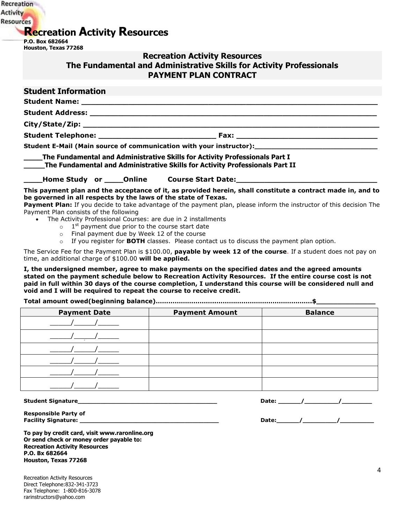# **Recreation Activity Resources**

**P.O. Box 682664 Houston, Texas 77268**

Recreation **Activity Resources** 

## **Recreation Activity Resources The Fundamental and Administrative Skills for Activity Professionals PAYMENT PLAN CONTRACT**

| <b>Student Information</b>             |  |                                                                                                                                                                                                                                                                                                                                                                         |
|----------------------------------------|--|-------------------------------------------------------------------------------------------------------------------------------------------------------------------------------------------------------------------------------------------------------------------------------------------------------------------------------------------------------------------------|
|                                        |  |                                                                                                                                                                                                                                                                                                                                                                         |
|                                        |  |                                                                                                                                                                                                                                                                                                                                                                         |
|                                        |  |                                                                                                                                                                                                                                                                                                                                                                         |
|                                        |  |                                                                                                                                                                                                                                                                                                                                                                         |
|                                        |  | Student E-Mail (Main source of communication with your instructor): ________________________________                                                                                                                                                                                                                                                                    |
|                                        |  | _____The Fundamental and Administrative Skills for Activity Professionals Part I<br>_____The Fundamental and Administrative Skills for Activity Professionals Part II                                                                                                                                                                                                   |
|                                        |  | <b>_____Home Study or _____Online Course Start Date:_______________________________</b>                                                                                                                                                                                                                                                                                 |
| Payment Plan consists of the following |  | This payment plan and the acceptance of it, as provided herein, shall constitute a contract made in, and to<br>be governed in all respects by the laws of the state of Texas.<br>Payment Plan: If you decide to take advantage of the payment plan, please inform the instructor of this decision The<br>• The Activity Professional Courses: are due in 2 installments |
|                                        |  | $\circ$ 1 <sup>st</sup> payment due prior to the course start date                                                                                                                                                                                                                                                                                                      |
|                                        |  | o Final payment due by Week 12 of the course                                                                                                                                                                                                                                                                                                                            |

o If you register for **BOTH** classes. Please contact us to discuss the payment plan option.

The Service Fee for the Payment Plan is \$100.00, **payable by week 12 of the course**. If a student does not pay on time, an additional charge of \$100.00 **will be applied.** 

**I, the undersigned member, agree to make payments on the specified dates and the agreed amounts stated on the payment schedule below to Recreation Activity Resources. If the entire course cost is not paid in full within 30 days of the course completion, I understand this course will be considered null and void and I will be required to repeat the course to receive credit.**

**Total amount owed(beginning balance)………………………..……………………………………….\$\_\_\_\_\_\_\_\_\_\_\_\_\_\_**

| <b>Payment Date</b> | <b>Payment Amount</b> | <b>Balance</b> |
|---------------------|-----------------------|----------------|
|                     |                       |                |
|                     |                       |                |
|                     |                       |                |
|                     |                       |                |
|                     |                       |                |
|                     |                       |                |

**Student Signature\_\_\_\_\_\_\_\_\_\_\_\_\_\_\_\_\_\_\_\_\_\_\_\_\_\_\_\_\_\_\_\_\_\_\_\_\_ Date: \_\_\_\_\_\_/\_\_\_\_\_\_\_\_\_/\_\_\_\_\_\_\_\_**

**Responsible Party of**

**Facility Signature: \_\_\_\_\_\_\_\_\_\_\_\_\_\_\_\_\_\_\_\_\_\_\_\_\_\_\_\_\_\_\_\_\_\_\_\_\_ Date:\_\_\_\_\_\_/\_\_\_\_\_\_\_\_\_/\_\_\_\_\_\_\_\_\_**

**To pay by credit card, visit www.raronline.org Or send check or money order payable to: Recreation Activity Resources P.O. Bx 682664 Houston, Texas 77268**

Recreation Activity Resources Direct Telephone:832-341-3723 Fax Telephone: 1-800-816-3078 rarinstructors@yahoo.com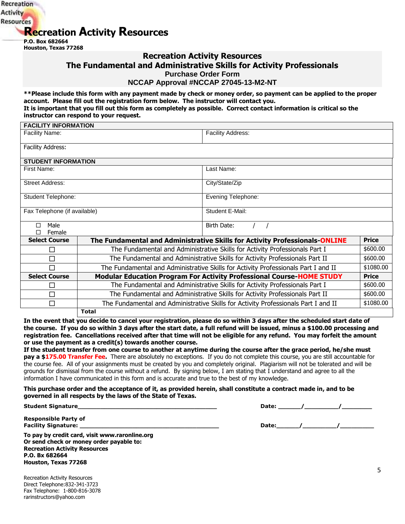# **Recreation Activity Resources**

**P.O. Box 682664 Houston, Texas 77268**

Recreation **Activity Resources** 

**FACILITY INFORMATION**

### **Recreation Activity Resources**

**The Fundamental and Administrative Skills for Activity Professionals** 

**Purchase Order Form**

#### **NCCAP Approval #NCCAP 27045-13-M2-NT**

**\*\*Please include this form with any payment made by check or money order, so payment can be applied to the proper account. Please fill out the registration form below. The instructor will contact you. It is important that you fill out this form as completely as possible. Correct contact information is critical so the instructor can respond to your request.**

| <b>FACILITY INFORMATION</b>  |                                                                                                 |                                                                             |              |  |
|------------------------------|-------------------------------------------------------------------------------------------------|-----------------------------------------------------------------------------|--------------|--|
| <b>Facility Name:</b>        |                                                                                                 | <b>Facility Address:</b>                                                    |              |  |
| Facility Address:            |                                                                                                 |                                                                             |              |  |
| <b>STUDENT INFORMATION</b>   |                                                                                                 |                                                                             |              |  |
| First Name:                  |                                                                                                 | Last Name:                                                                  |              |  |
| <b>Street Address:</b>       |                                                                                                 | City/State/Zip                                                              |              |  |
| Student Telephone:           |                                                                                                 | Evening Telephone:                                                          |              |  |
| Fax Telephone (if available) |                                                                                                 | Student E-Mail:                                                             |              |  |
| Male<br>Female               |                                                                                                 | Birth Date:                                                                 |              |  |
| <b>Select Course</b>         |                                                                                                 | The Fundamental and Administrative Skills for Activity Professionals-ONLINE | <b>Price</b> |  |
| □                            |                                                                                                 | The Fundamental and Administrative Skills for Activity Professionals Part I | \$600.00     |  |
| □                            | The Fundamental and Administrative Skills for Activity Professionals Part II                    |                                                                             | \$600.00     |  |
| $\Box$                       | The Fundamental and Administrative Skills for Activity Professionals Part I and II              |                                                                             | \$1080.00    |  |
| <b>Select Course</b>         |                                                                                                 | Modular Education Program For Activity Professional Course-HOME STUDY       | <b>Price</b> |  |
| □                            |                                                                                                 | The Fundamental and Administrative Skills for Activity Professionals Part I | \$600.00     |  |
| $\Box$                       | The Fundamental and Administrative Skills for Activity Professionals Part II                    |                                                                             | \$600.00     |  |
| □                            | \$1080.00<br>The Fundamental and Administrative Skills for Activity Professionals Part I and II |                                                                             |              |  |
|                              | <b>Total</b>                                                                                    |                                                                             |              |  |

**In the event that you decide to cancel your registration, please do so within 3 days after the scheduled start date of the course. If you do so within 3 days after the start date, a full refund will be issued, minus a \$100.00 processing and registration fee. Cancellations received after that time will not be eligible for any refund. You may forfeit the amount or use the payment as a credit(s) towards another course.** 

**If the student transfer from one course to another at anytime during the course after the grace period, he/she must**  pay a \$175.00 Transfer Fee. There are absolutely no exceptions. If you do not complete this course, you are still accountable for the course fee. All of your assignments must be created by you and completely original. Plagiarism will not be tolerated and will be grounds for dismissal from the course without a refund. By signing below, I am stating that I understand and agree to all the information I have communicated in this form and is accurate and true to the best of my knowledge.

**This purchase order and the acceptance of it, as provided herein, shall constitute a contract made in, and to be governed in all respects by the laws of the State of Texas.**

**Student Signature\_\_\_\_\_\_\_\_\_\_\_\_\_\_\_\_\_\_\_\_\_\_\_\_\_\_\_\_\_\_\_\_\_\_\_\_\_ Date: \_\_\_\_\_\_/\_\_\_\_\_\_\_\_\_/\_\_\_\_\_\_\_\_**

**Facility Signature: \_\_\_\_\_\_\_\_\_\_\_\_\_\_\_\_\_\_\_\_\_\_\_\_\_\_\_\_\_\_\_\_\_\_\_\_\_ Date:\_\_\_\_\_\_/\_\_\_\_\_\_\_\_\_/\_\_\_\_\_\_\_\_\_**

**Responsible Party of**

**To pay by credit card, visit www.raronline.org Or send check or money order payable to: Recreation Activity Resources P.O. Bx 682664 Houston, Texas 77268**

Recreation Activity Resources Direct Telephone:832-341-3723 Fax Telephone: 1-800-816-3078 rarinstructors@yahoo.com

5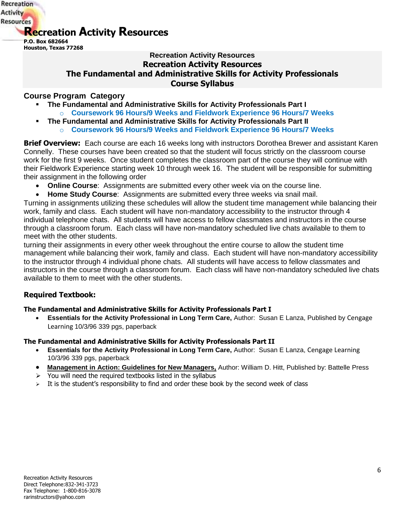

## **Recreation Activity Resources Recreation Activity Resources The Fundamental and Administrative Skills for Activity Professionals Course Syllabus**

### **Course Program Category**

- **The Fundamental and Administrative Skills for Activity Professionals Part I** 
	- o **Coursework 96 Hours/9 Weeks and Fieldwork Experience 96 Hours/7 Weeks**
- **The Fundamental and Administrative Skills for Activity Professionals Part II** o **Coursework 96 Hours/9 Weeks and Fieldwork Experience 96 Hours/7 Weeks**

**Brief Overview:** Each course are each 16 weeks long with instructors Dorothea Brewer and assistant Karen Connelly. These courses have been created so that the student will focus strictly on the classroom course work for the first 9 weeks. Once student completes the classroom part of the course they will continue with their Fieldwork Experience starting week 10 through week 16. The student will be responsible for submitting their assignment in the following order

- **Online Course**: Assignments are submitted every other week via on the course line.
- **Home Study Course**: Assignments are submitted every three weeks via snail mail.

Turning in assignments utilizing these schedules will allow the student time management while balancing their work, family and class. Each student will have non-mandatory accessibility to the instructor through 4 individual telephone chats. All students will have access to fellow classmates and instructors in the course through a classroom forum. Each class will have non-mandatory scheduled live chats available to them to meet with the other students.

turning their assignments in every other week throughout the entire course to allow the student time management while balancing their work, family and class. Each student will have non-mandatory accessibility to the instructor through 4 individual phone chats. All students will have access to fellow classmates and instructors in the course through a classroom forum. Each class will have non-mandatory scheduled live chats available to them to meet with the other students.

### **Required Textbook:**

### **The Fundamental and Administrative Skills for Activity Professionals Part I**

 **Essentials for the Activity Professional in Long Term Care,** Author: Susan E Lanza, Published by Cengage Learning 10/3/96 339 pgs, paperback

### **The Fundamental and Administrative Skills for Activity Professionals Part II**

- **Essentials for the Activity Professional in Long Term Care,** Author: Susan E Lanza, Cengage Learning 10/3/96 339 pgs, paperback
- **Management in Action: Guidelines for New Managers,** Author: William D. Hitt, Published by: Battelle Press
- $\triangleright$  You will need the required textbooks listed in the syllabus
- $\triangleright$  It is the student's responsibility to find and order these book by the second week of class